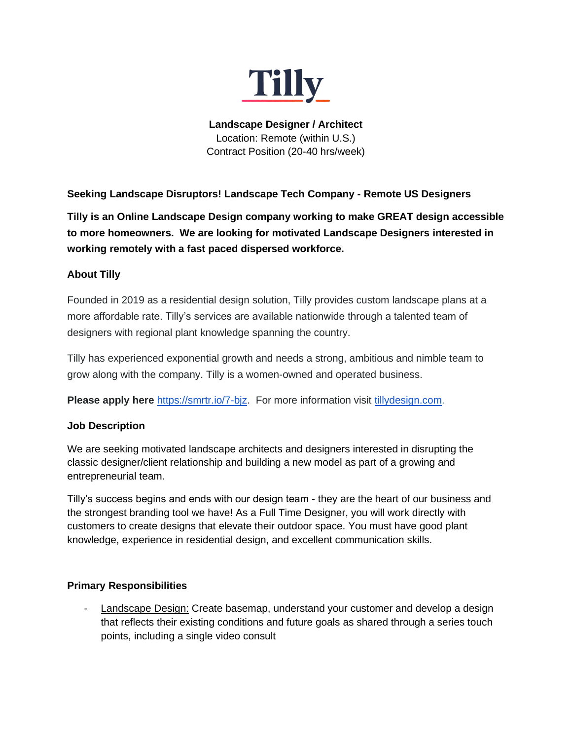

**Landscape Designer / Architect** Location: Remote (within U.S.) Contract Position (20-40 hrs/week)

**Seeking Landscape Disruptors! Landscape Tech Company - Remote US Designers**

**Tilly is an Online Landscape Design company working to make GREAT design accessible to more homeowners. We are looking for motivated Landscape Designers interested in working remotely with a fast paced dispersed workforce.** 

# **About Tilly**

Founded in 2019 as a residential design solution, Tilly provides custom landscape plans at a more affordable rate. Tilly's services are available nationwide through a talented team of designers with regional plant knowledge spanning the country.

Tilly has experienced exponential growth and needs a strong, ambitious and nimble team to grow along with the company. Tilly is a women-owned and operated business.

**Please apply here** [https://smrtr.io/7-bjz.](https://smrtr.io/7-bjz) For more information visit [tillydesign.com.](http://www.tillydesign.com/)

# **Job Description**

We are seeking motivated landscape architects and designers interested in disrupting the classic designer/client relationship and building a new model as part of a growing and entrepreneurial team.

Tilly's success begins and ends with our design team - they are the heart of our business and the strongest branding tool we have! As a Full Time Designer, you will work directly with customers to create designs that elevate their outdoor space. You must have good plant knowledge, experience in residential design, and excellent communication skills.

# **Primary Responsibilities**

- Landscape Design: Create basemap, understand your customer and develop a design that reflects their existing conditions and future goals as shared through a series touch points, including a single video consult